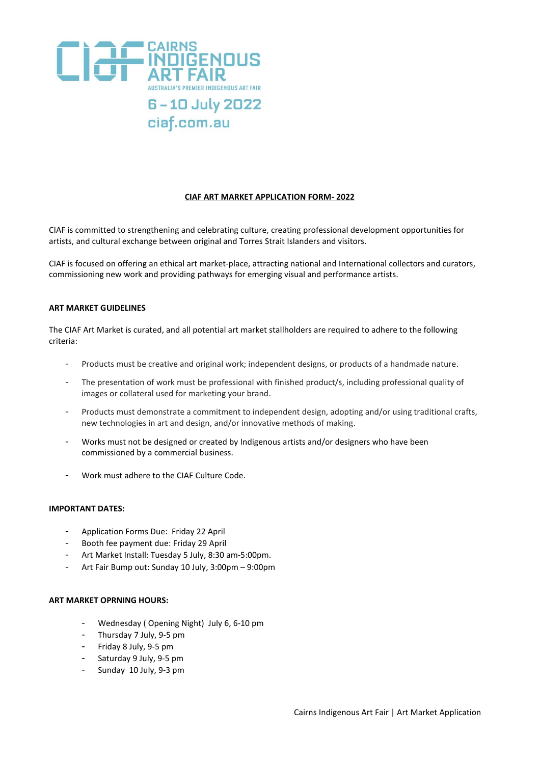

# **CIAF ART MARKET APPLICATION FORM- 2022**

CIAF is committed to strengthening and celebrating culture, creating professional development opportunities for artists, and cultural exchange between original and Torres Strait Islanders and visitors.

CIAF is focused on offering an ethical art market-place, attracting national and International collectors and curators, commissioning new work and providing pathways for emerging visual and performance artists.

#### **ART MARKET GUIDELINES**

The CIAF Art Market is curated, and all potential art market stallholders are required to adhere to the following criteria:

- Products must be creative and original work; independent designs, or products of a handmade nature.
- The presentation of work must be professional with finished product/s, including professional quality of images or collateral used for marketing your brand.
- Products must demonstrate a commitment to independent design, adopting and/or using traditional crafts, new technologies in art and design, and/or innovative methods of making.
- Works must not be designed or created by Indigenous artists and/or designers who have been commissioned by a commercial business.
- Work must adhere to the CIAF Culture Code.

# **IMPORTANT DATES:**

- Application Forms Due: Friday 22 April
- Booth fee payment due: Friday 29 April
- Art Market Install: Tuesday 5 July, 8:30 am-5:00pm.
- Art Fair Bump out: Sunday 10 July, 3:00pm 9:00pm

# **ART MARKET OPRNING HOURS:**

- Wednesday ( Opening Night) July 6, 6-10 pm
- Thursday 7 July, 9-5 pm
- Friday 8 July, 9-5 pm
- Saturday 9 July, 9-5 pm
- Sunday 10 July, 9-3 pm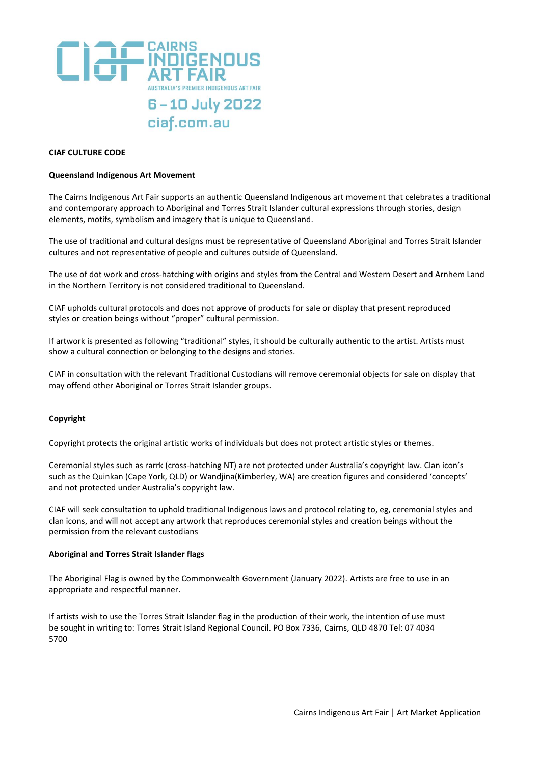

### **CIAF CULTURE CODE**

#### **Queensland Indigenous Art Movement**

The Cairns Indigenous Art Fair supports an authentic Queensland Indigenous art movement that celebrates a traditional and contemporary approach to Aboriginal and Torres Strait Islander cultural expressions through stories, design elements, motifs, symbolism and imagery that is unique to Queensland.

The use of traditional and cultural designs must be representative of Queensland Aboriginal and Torres Strait Islander cultures and not representative of people and cultures outside of Queensland.

The use of dot work and cross-hatching with origins and styles from the Central and Western Desert and Arnhem Land in the Northern Territory is not considered traditional to Queensland.

CIAF upholds cultural protocols and does not approve of products for sale or display that present reproduced styles or creation beings without "proper" cultural permission.

If artwork is presented as following "traditional" styles, it should be culturally authentic to the artist. Artists must show a cultural connection or belonging to the designs and stories.

CIAF in consultation with the relevant Traditional Custodians will remove ceremonial objects for sale on display that may offend other Aboriginal or Torres Strait Islander groups.

# **Copyright**

Copyright protects the original artistic works of individuals but does not protect artistic styles or themes.

Ceremonial styles such as rarrk (cross-hatching NT) are not protected under Australia's copyright law. Clan icon's such as the Quinkan (Cape York, QLD) or Wandjina(Kimberley, WA) are creation figures and considered 'concepts' and not protected under Australia's copyright law.

CIAF will seek consultation to uphold traditional Indigenous laws and protocol relating to, eg, ceremonial styles and clan icons, and will not accept any artwork that reproduces ceremonial styles and creation beings without the permission from the relevant custodians

# **Aboriginal and Torres Strait Islander flags**

The Aboriginal Flag is owned by the Commonwealth Government (January 2022). Artists are free to use in an appropriate and respectful manner.

If artists wish to use the Torres Strait Islander flag in the production of their work, the intention of use must be sought in writing to: Torres Strait Island Regional Council. PO Box 7336, Cairns, QLD 4870 Tel: 07 4034 5700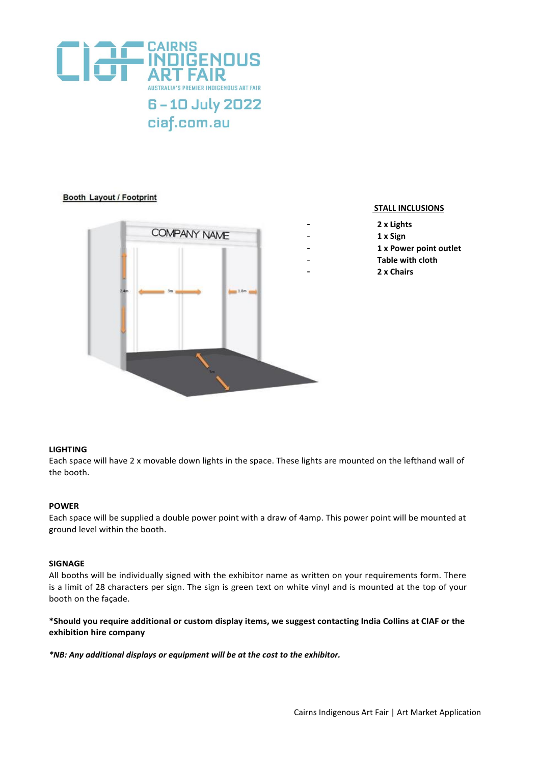

# **Booth Layout / Footprint**



### **STALL INCLUSIONS**

- **2 x Lights**
- **1 x Sign**
- **1 x Power point outlet**
- **Table with cloth**
- **2 x Chairs**

# **LIGHTING**

Each space will have 2 x movable down lights in the space. These lights are mounted on the lefthand wall of the booth.

#### **POWER**

Each space will be supplied a double power point with a draw of 4amp. This power point will be mounted at ground level within the booth.

# **SIGNAGE**

All booths will be individually signed with the exhibitor name as written on your requirements form. There is a limit of 28 characters per sign. The sign is green text on white vinyl and is mounted at the top of your booth on the façade.

# **\*Should you require additional or custom display items, we suggest contacting India Collins at CIAF or the exhibition hire company**

*\*NB: Any additional displays or equipment will be at the cost to the exhibitor.*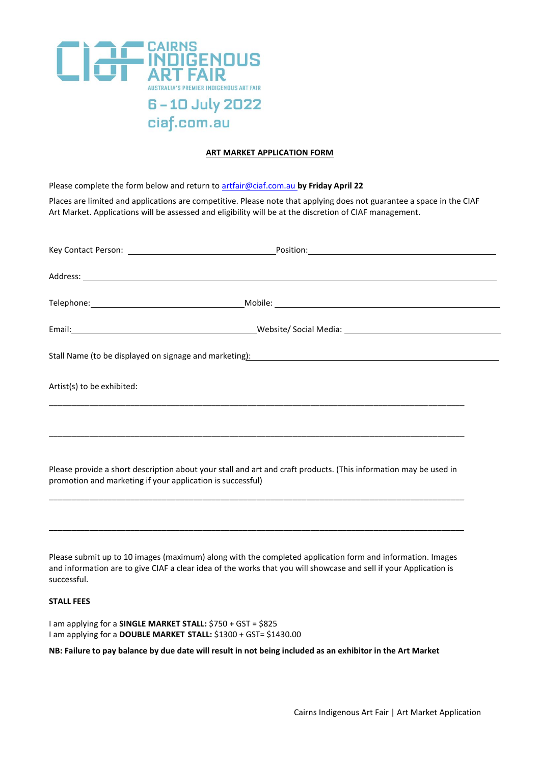

# **ART MARKET APPLICATION FORM**

Please complete the form below and return t[o artfair@ciaf.com.au](mailto:artfair@ciaf.com.au) **by Friday April 22**

Places are limited and applications are competitive. Please note that applying does not guarantee a space in the CIAF Art Market. Applications will be assessed and eligibility will be at the discretion of CIAF management.

| Artist(s) to be exhibited: | Address: <u>Address:</u> Address: Address: Address: Address: Address: Address: Address: Address: Address: Address: Address: Address: Address: Address: Address: Address: Address: Address: Address: Address: Address: Address: Addr<br>Email: 1990 1991 1992 Website/Social Media: 2008 2009 2010 1994 1996 2010 2021 2031 2040 2051 2052 2053 2054 20<br>Stall Name (to be displayed on signage and marketing): Manual Community Community Community Community Communit<br>Please provide a short description about your stall and art and craft products. (This information may be used in<br>promotion and marketing if your application is successful) |
|----------------------------|------------------------------------------------------------------------------------------------------------------------------------------------------------------------------------------------------------------------------------------------------------------------------------------------------------------------------------------------------------------------------------------------------------------------------------------------------------------------------------------------------------------------------------------------------------------------------------------------------------------------------------------------------------|
|                            |                                                                                                                                                                                                                                                                                                                                                                                                                                                                                                                                                                                                                                                            |
|                            |                                                                                                                                                                                                                                                                                                                                                                                                                                                                                                                                                                                                                                                            |
|                            |                                                                                                                                                                                                                                                                                                                                                                                                                                                                                                                                                                                                                                                            |

Please submit up to 10 images (maximum) along with the completed application form and information. Images and information are to give CIAF a clear idea of the works that you will showcase and sell if your Application is successful.

\_\_\_\_\_\_\_\_\_\_\_\_\_\_\_\_\_\_\_\_\_\_\_\_\_\_\_\_\_\_\_\_\_\_\_\_\_\_\_\_\_\_\_\_\_\_\_\_\_\_\_\_\_\_\_\_\_\_\_\_\_\_\_\_\_\_\_\_\_\_\_\_\_\_\_\_\_\_\_\_\_\_\_\_\_\_\_\_\_\_\_\_

#### **STALL FEES**

I am applying for a **SINGLE MARKET STALL:** \$750 + GST = \$825 I am applying for a **DOUBLE MARKET STALL:** \$1300 + GST= \$1430.00

**NB: Failure to pay balance by due date will result in not being included as an exhibitor in the Art Market**